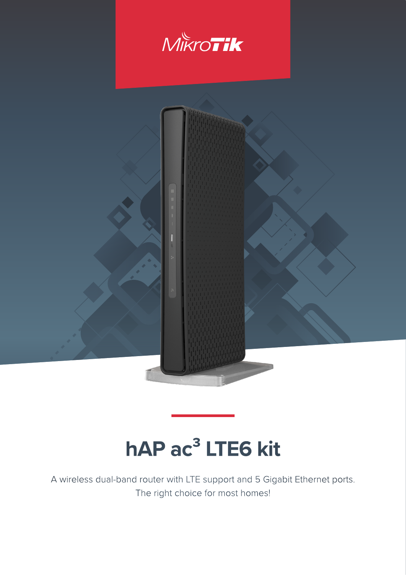



# **hAP ac<sup>3</sup> LTE6 kit**

A wireless dual-band router with LTE support and 5 Gigabit Ethernet ports. The right choice for most homes!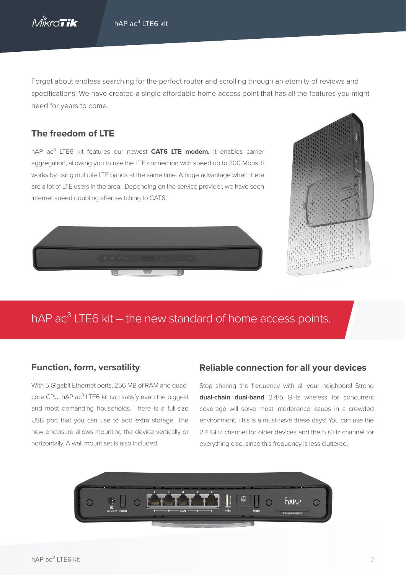

Forget about endless searching for the perfect router and scrolling through an eternity of reviews and specifications! We have created a single affordable home access point that has all the features you might need for years to come.

#### **The freedom of LTE**

hAP ac<sup>3</sup> LTE6 kit features our newest **CAT6 LTE modem.** It enables carrier aggregation, allowing you to use the LTE connection with speed up to 300 Mbps. It works by using multiple LTE bands at the same time. A huge advantage when there are a lot of LTE users in the area. Depending on the service provider, we have seen Internet speed doubling after switching to CAT6.





# hAP  $ac<sup>3</sup>$  LTE6 kit – the new standard of home access points.

#### **Function, form, versatility**

With 5 Gigabit Ethernet ports, 256 MB of RAM and quadcore CPU, hAP ac<sup>3</sup> LTE6 kit can satisfy even the biggest and most demanding households. There is a full-size USB port that you can use to add extra storage. The new enclosure allows mounting the device vertically or horizontally. A wall mount set is also included.

#### **Reliable connection for all your devices**

Stop sharing the frequency with all your neighbors! Strong **dual-chain dual-band** 2.4/5 GHz wireless for concurrent coverage will solve most interference issues in a crowded environment. This is a must-have these days! You can use the 2.4 GHz channel for older devices and the 5 GHz channel for everything else, since this frequency is less cluttered.

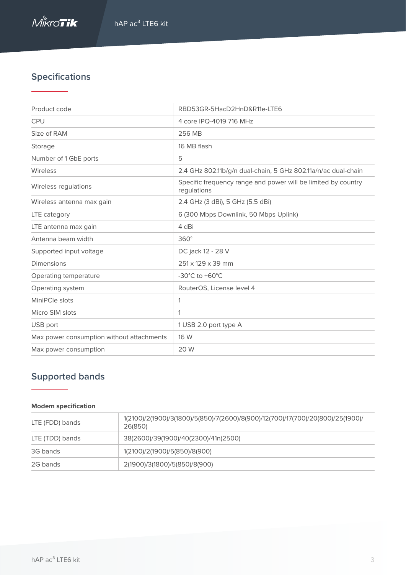# **Specifications**

| Product code                              | RBD53GR-5HacD2HnD&R11e-LTE6                                                  |
|-------------------------------------------|------------------------------------------------------------------------------|
| <b>CPU</b>                                | 4 core IPQ-4019 716 MHz                                                      |
| Size of RAM                               | 256 MB                                                                       |
| Storage                                   | 16 MB flash                                                                  |
| Number of 1 GbE ports                     | 5                                                                            |
| Wireless                                  | 2.4 GHz 802.11b/g/n dual-chain, 5 GHz 802.11a/n/ac dual-chain                |
| Wireless regulations                      | Specific frequency range and power will be limited by country<br>regulations |
| Wireless antenna max gain                 | 2.4 GHz (3 dBi), 5 GHz (5.5 dBi)                                             |
| LTE category                              | 6 (300 Mbps Downlink, 50 Mbps Uplink)                                        |
| LTE antenna max gain                      | 4 dBi                                                                        |
| Antenna beam width                        | $360^\circ$                                                                  |
| Supported input voltage                   | DC jack 12 - 28 V                                                            |
| <b>Dimensions</b>                         | 251 x 129 x 39 mm                                                            |
| Operating temperature                     | $-30^{\circ}$ C to $+60^{\circ}$ C                                           |
| Operating system                          | RouterOS, License level 4                                                    |
| MiniPCle slots                            | 1                                                                            |
| Micro SIM slots                           | 1                                                                            |
| USB port                                  | 1 USB 2.0 port type A                                                        |
| Max power consumption without attachments | 16 W                                                                         |
| Max power consumption                     | 20 W                                                                         |

## **Supported bands**

#### **Modem specification**

| LTE (FDD) bands | 1(2100)/2(1900)/3(1800)/5(850)/7(2600)/8(900)/12(700)/17(700)/20(800)/25(1900)/<br>26(850) |
|-----------------|--------------------------------------------------------------------------------------------|
| LTE (TDD) bands | 38(2600)/39(1900)/40(2300)/41n(2500)                                                       |
| 3G bands        | 1(2100)/2(1900)/5(850)/8(900)                                                              |
| 2G bands        | 2(1900)/3(1800)/5(850)/8(900)                                                              |